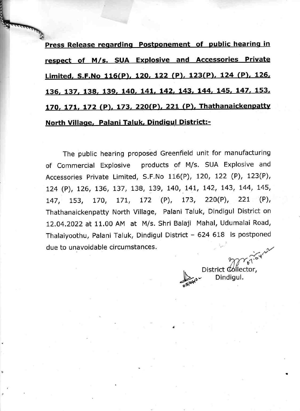Press Release regarding Postponement of public hearing in respect of M/s. SUA Explosive and Accessories Private Limited, S.F.No 116(P), 120, 122 (P), 123(P), 124 (P), 126, L36, L37, L38, L39. L40,14L, L42. L43, L44. L45, L47, L53, 170, 171, 172 (P), 173, 220(P), 221 (P), Thathanaickenpatty North Village, Palani Taluk, Dindigul District:-

The public hearing proposed Greenfield unit for manufacturing of Commercial Explosive products of M/s. SUA Explosive and Accessories Private Limited, S.F.No 116(P), t2O, L22 (P), 123(P), 124 (P), 126, 136, 137, 138, 139, 140, 141, 142, 143, 144, 145, L47, 153, L7O, L7!, 172 (P), L73, 220(P), 22L (P), Thathanaickenpatty North Village, Palani Taluk, Dindigul District on L2.04.2022 at 11.00 AM at M/s. Shri Balaji Mahal, Udumalai Road, Thalaiyoothu, Palani Taluk, Dindigul District - 624 618 is postponed due to unavoidable circumstances.

Merican **District Collector,** Dindigul.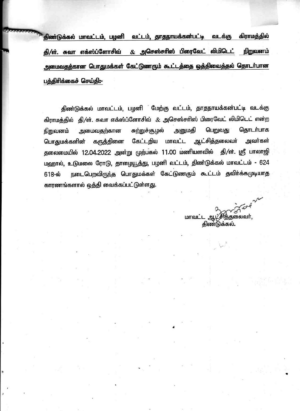திண்டுக்கல் மாவட்டம், பழனி வட்டம், தாதநாயக்கன்பட்டி வடக்கு கிராமத்தில் & அசெஸ்சரிஸ் பிரைவேட் லிமிடெட் தி/ள். சுவா எக்ஸ்ப்ளோசிவ் நிறுவனம் அமைவதற்கான பொதுமக்கள் கேட்டுணரும் கூட்டத்தை ஒத்திவைத்தல் தொடா்பான பத்திரிக்கைச் செய்தி:-

திண்டுக்கல் மாவட்டம், பழனி மேற்கு வட்டம், தாதநாயக்கன்பட்டி வடக்கு கிராமத்தில் தி/ள். சுவா எக்ஸ்ப்ளோசிவ் & அசெஸ்சரிஸ் பிரைவேட் லிமிடெட் என்ற அனுமதி பெறுவது கொடர்பாக சுற்றுச்சூழல் அமைவகற்கான நிறுவனம் ஆட்சித்தலைவர் பொதுமக்களின் கருத்தினை அவர்கள் கேட்டறிய மாவட்ட தலைமையில் 12.04.2022 அன்று முற்பகல் 11.00 மணியளவில் தி/ள். ஸ்ரீ பாலாஜி மஹால், உடுமலை ரோடு, தாழையூத்து, பழனி வட்டம், திண்டுக்கல் மாவட்டம் - 624 நடைபெறவிருந்த பொதுமக்கள் கேட்டுணரும் கூட்டம் தவிா்க்கமுடியாத 618-ல் காரணங்களால் ஒத்தி வைக்கப்பட்டுள்ளது.

மாவட்ட ஆட்சித்தலைவர், திண்டுக்கல்.